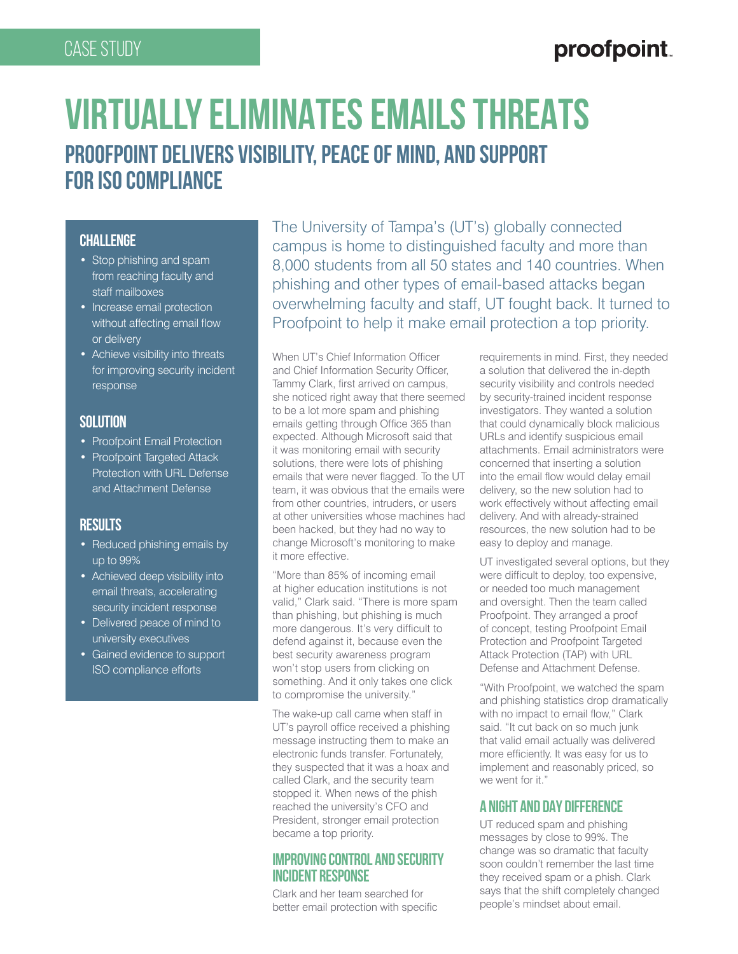## Case Study

# proofpoint

# **VIRTUALLY ELIMINATES EMAILS THREATS PROOFPOINT DELIVERS VISIBILITY, PEACE OF MIND, AND SUPPORT FOR ISO COMPLIANCE**

#### **CHALLENGE**

- Stop phishing and spam from reaching faculty and staff mailboxes
- Increase email protection without affecting email flow or delivery
- Achieve visibility into threats for improving security incident response

#### **Solution**

- Proofpoint Email Protection
- Proofpoint Targeted Attack Protection with URL Defense and Attachment Defense

## **Results**

- Reduced phishing emails by up to 99%
- Achieved deep visibility into email threats, accelerating security incident response
- Delivered peace of mind to university executives
- Gained evidence to support ISO compliance efforts

The University of Tampa's (UT's) globally connected campus is home to distinguished faculty and more than 8,000 students from all 50 states and 140 countries. When phishing and other types of email-based attacks began overwhelming faculty and staff, UT fought back. It turned to Proofpoint to help it make email protection a top priority.

When UT's Chief Information Officer and Chief Information Security Officer, Tammy Clark, first arrived on campus, she noticed right away that there seemed to be a lot more spam and phishing emails getting through Office 365 than expected. Although Microsoft said that it was monitoring email with security solutions, there were lots of phishing emails that were never flagged. To the UT team, it was obvious that the emails were from other countries, intruders, or users at other universities whose machines had been hacked, but they had no way to change Microsoft's monitoring to make it more effective.

"More than 85% of incoming email at higher education institutions is not valid," Clark said. "There is more spam than phishing, but phishing is much more dangerous. It's very difficult to defend against it, because even the best security awareness program won't stop users from clicking on something. And it only takes one click to compromise the university."

The wake-up call came when staff in UT's payroll office received a phishing message instructing them to make an electronic funds transfer. Fortunately, they suspected that it was a hoax and called Clark, and the security team stopped it. When news of the phish reached the university's CFO and President, stronger email protection became a top priority.

#### **IMPROVING CONTROL AND SECURITY INCIDENT RESPONSE**

Clark and her team searched for better email protection with specific requirements in mind. First, they needed a solution that delivered the in-depth security visibility and controls needed by security-trained incident response investigators. They wanted a solution that could dynamically block malicious URLs and identify suspicious email attachments. Email administrators were concerned that inserting a solution into the email flow would delay email delivery, so the new solution had to work effectively without affecting email delivery. And with already-strained resources, the new solution had to be easy to deploy and manage.

UT investigated several options, but they were difficult to deploy, too expensive, or needed too much management and oversight. Then the team called Proofpoint. They arranged a proof of concept, testing Proofpoint Email Protection and Proofpoint Targeted Attack Protection (TAP) with URL Defense and Attachment Defense.

"With Proofpoint, we watched the spam and phishing statistics drop dramatically with no impact to email flow," Clark said. "It cut back on so much junk that valid email actually was delivered more efficiently. It was easy for us to implement and reasonably priced, so we went for it."

## **A NIGHT AND DAY DIFFERENCE**

UT reduced spam and phishing messages by close to 99%. The change was so dramatic that faculty soon couldn't remember the last time they received spam or a phish. Clark says that the shift completely changed people's mindset about email.